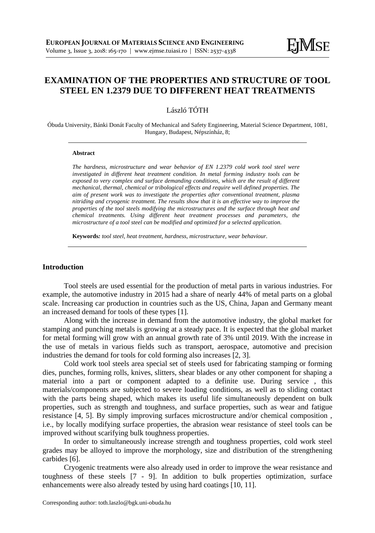# **EXAMINATION OF THE PROPERTIES AND STRUCTURE OF TOOL STEEL EN 1.2379 DUE TO DIFFERENT HEAT TREATMENTS**

# László TÓTH

Óbuda University, Bánki Donát Faculty of Mechanical and Safety Engineering, Material Science Department, 1081, Hungary, Budapest, Népszínház, 8;

#### **Abstract**

*The hardness, microstructure and wear behavior of EN 1.2379 cold work tool steel were investigated in different heat treatment condition. In metal forming industry tools can be exposed to very complex and surface demanding conditions, which are the result of different mechanical, thermal, chemical or tribological effects and require well defined properties. The aim of present work was to investigate the properties after conventional treatment, plasma nitriding and cryogenic treatment. The results show that it is an effective way to improve the properties of the tool steels modifying the microstructures and the surface through heat and chemical treatments. Using different heat treatment processes and parameters, the microstructure of a tool steel can be modified and optimized for a selected application.*

**Keywords***: tool steel, heat treatment, hardness, microstructure, wear behaviour.*

### **Introduction**

Tool steels are used essential for the production of metal parts in various industries. For example, the automotive industry in 2015 had a share of nearly 44% of metal parts on a global scale. Increasing car production in countries such as the US, China, Japan and Germany meant an increased demand for tools of these types [1].

Along with the increase in demand from the automotive industry, the global market for stamping and punching metals is growing at a steady pace. It is expected that the global market for metal forming will grow with an annual growth rate of 3% until 2019. With the increase in the use of metals in various fields such as transport, aerospace, automotive and precision industries the demand for tools for cold forming also increases [2, 3].

Cold work tool steels area special set of steels used for fabricating stamping or forming dies, punches, forming rolls, knives, slitters, shear blades or any other component for shaping a material into a part or component adapted to a definite use. During service , this materials/components are subjected to severe loading conditions, as well as to sliding contact with the parts being shaped, which makes its useful life simultaneously dependent on bulk properties, such as strength and toughness, and surface properties, such as wear and fatigue resistance [4, 5]. By simply improving surfaces microstructure and/or chemical composition , i.e., by locally modifying surface properties, the abrasion wear resistance of steel tools can be improved without scarifying bulk toughness properties.

In order to simultaneously increase strength and toughness properties, cold work steel grades may be alloyed to improve the morphology, size and distribution of the strengthening carbides [6].

Cryogenic treatments were also already used in order to improve the wear resistance and toughness of these steels [7 - 9]. In addition to bulk properties optimization, surface enhancements were also already tested by using hard coatings [10, 11].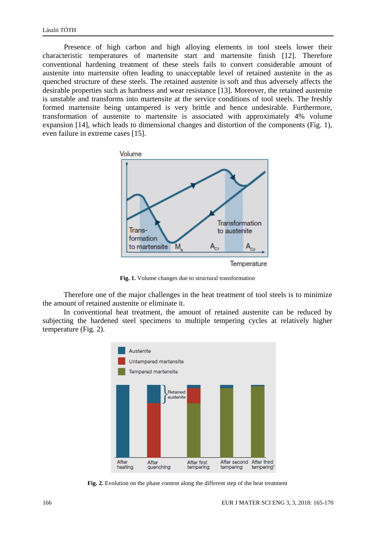Presence of high carbon and high alloying elements in tool steels lower their characteristic temperatures of martensite start and martensite finish [12]. Therefore conventional hardening treatment of these steels fails to convert considerable amount of austenite into martensite often leading to unacceptable level of retained austenite in the as quenched structure of these steels. The retained austenite is soft and thus adversely affects the desirable properties such as hardness and wear resistance [13]. Moreover, the retained austenite is unstable and transforms into martensite at the service conditions of tool steels. The freshly formed martensite being untampered is very brittle and hence undesirable. Furthermore, transformation of austenite to martensite is associated with approximately 4% volume expansion [14], which leads to dimensional changes and distortion of the components (Fig. 1), even failure in extreme cases [15].



**Fig. 1.** Volume changes due to structural transformation

Therefore one of the major challenges in the heat treatment of tool steels is to minimize the amount of retained austenite or eliminate it.

In conventional heat treatment, the amount of retained austenite can be reduced by subjecting the hardened steel specimens to multiple tempering cycles at relatively higher temperature (Fig. 2).



**Fig. 2.** Evolution on the phase content along the different step of the heat treatment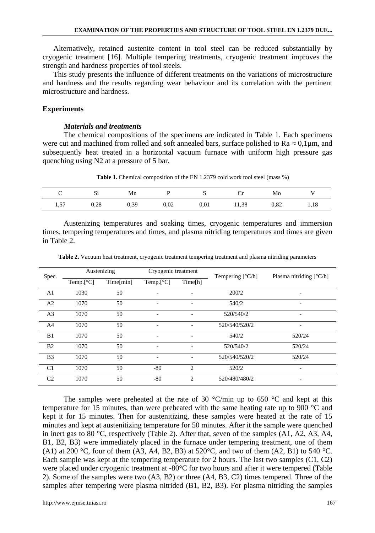Alternatively, retained austenite content in tool steel can be reduced substantially by cryogenic treatment [16]. Multiple tempering treatments, cryogenic treatment improves the strength and hardness properties of tool steels.

This study presents the influence of different treatments on the variations of microstructure and hardness and the results regarding wear behaviour and its correlation with the pertinent microstructure and hardness.

#### **Experiments**

# *Materials and treatments*

The chemical compositions of the specimens are indicated in Table 1. Each specimens were cut and machined from rolled and soft annealed bars, surface polished to  $Ra \approx 0.1 \,\mu m$ , and subsequently heat treated in a horizontal vacuum furnace with uniform high pressure gas quenching using N2 at a pressure of 5 bar.

**Table 1.** Chemical composition of the EN 1.2379 cold work tool steel (mass %)

| ◡    | Si   | Mn   |      |      | ີ     | Mo   |      |
|------|------|------|------|------|-------|------|------|
| 1,57 | 0,28 | 0,39 | 0,02 | 0,01 | 11,38 | 0,82 | 1,18 |

Austenizing temperatures and soaking times, cryogenic temperatures and immersion times, tempering temperatures and times, and plasma nitriding temperatures and times are given in Table 2.

| Table 2. Vacuum heat treatment, cryogenic treatment tempering treatment and plasma nitriding parameters |  |  |  |  |
|---------------------------------------------------------------------------------------------------------|--|--|--|--|
|---------------------------------------------------------------------------------------------------------|--|--|--|--|

| Spec.          | Austenizing |           | Cryogenic treatment |                              | Tempering $[^{\circ}C/h]$ | Plasma nitriding $\lceil \degree C/h \rceil$ |  |
|----------------|-------------|-----------|---------------------|------------------------------|---------------------------|----------------------------------------------|--|
|                | Temp.[°C]   | Time[min] | Temp. $[^{\circ}C]$ | Time[h]                      |                           |                                              |  |
| A <sub>1</sub> | 1030        | 50        |                     | ۰                            | 200/2                     | -                                            |  |
| A2             | 1070        | 50        |                     | ۰                            | 540/2                     |                                              |  |
| A <sub>3</sub> | 1070        | 50        |                     | $\overline{\phantom{a}}$     | 520/540/2                 | $\overline{\phantom{a}}$                     |  |
| A <sub>4</sub> | 1070        | 50        |                     | $\overline{\phantom{0}}$     | 520/540/520/2             |                                              |  |
| B <sub>1</sub> | 1070        | 50        |                     | $\qquad \qquad \blacksquare$ | 540/2                     | 520/24                                       |  |
| B <sub>2</sub> | 1070        | 50        |                     | $\qquad \qquad \blacksquare$ | 520/540/2                 | 520/24                                       |  |
| B <sub>3</sub> | 1070        | 50        |                     | $\overline{\phantom{0}}$     | 520/540/520/2             | 520/24                                       |  |
| C <sub>1</sub> | 1070        | 50        | $-80$               | $\overline{2}$               | 520/2                     |                                              |  |
| C <sub>2</sub> | 1070        | 50        | -80                 | $\overline{c}$               | 520/480/480/2             |                                              |  |

The samples were preheated at the rate of 30  $^{\circ}$ C/min up to 650  $^{\circ}$ C and kept at this temperature for 15 minutes, than were preheated with the same heating rate up to 900 °C and kept it for 15 minutes. Then for austenitizing, these samples were heated at the rate of 15 minutes and kept at austenitizing temperature for 50 minutes. After it the sample were quenched in inert gas to 80 °C, respectively (Table 2). After that, seven of the samples (A1, A2, A3, A4, B1, B2, B3) were immediately placed in the furnace under tempering treatment, one of them (A1) at 200 °C, four of them (A3, A4, B2, B3) at 520°C, and two of them (A2, B1) to 540 °C. Each sample was kept at the tempering temperature for 2 hours. The last two samples  $(C1, C2)$ were placed under cryogenic treatment at -80°C for two hours and after it were tempered (Table 2). Some of the samples were two (A3, B2) or three (A4, B3, C2) times tempered. Three of the samples after tempering were plasma nitrided (B1, B2, B3). For plasma nitriding the samples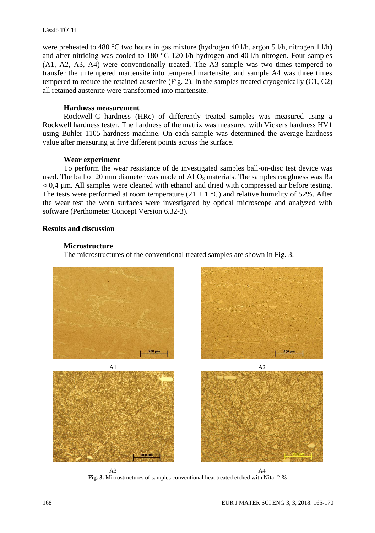were preheated to 480 °C two hours in gas mixture (hydrogen 40 l/h, argon 5 l/h, nitrogen 1 l/h) and after nitriding was cooled to 180 °C 120 l/h hydrogen and 40 l/h nitrogen. Four samples (A1, A2, A3, A4) were conventionally treated. The A3 sample was two times tempered to transfer the untempered martensite into tempered martensite, and sample A4 was three times tempered to reduce the retained austenite (Fig. 2). In the samples treated cryogenically  $(C1, C2)$ all retained austenite were transformed into martensite.

# **Hardness measurement**

Rockwell-C hardness (HRc) of differently treated samples was measured using a Rockwell hardness tester. The hardness of the matrix was measured with Vickers hardness HV1 using Buhler 1105 hardness machine. On each sample was determined the average hardness value after measuring at five different points across the surface.

# **Wear experiment**

To perform the wear resistance of de investigated samples ball-on-disc test device was used. The ball of 20 mm diameter was made of  $A1_2O_3$  materials. The samples roughness was Ra  $\approx 0.4$  µm. All samples were cleaned with ethanol and dried with compressed air before testing. The tests were performed at room temperature (21  $\pm$  1 °C) and relative humidity of 52%. After the wear test the worn surfaces were investigated by optical microscope and analyzed with software (Perthometer Concept Version 6.32-3).

# **Results and discussion**

# **Microstructure**

The microstructures of the conventional treated samples are shown in Fig. 3.



**Fig. 3.** Microstructures of samples conventional heat treated etched with Nital 2 %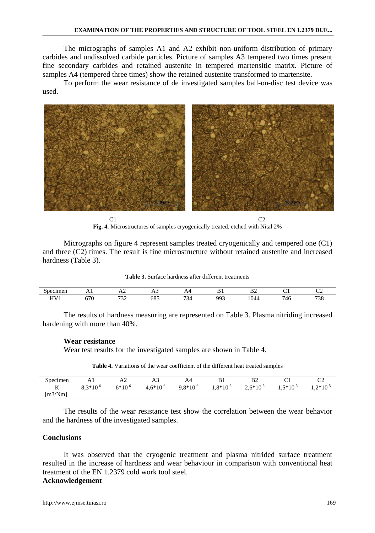The micrographs of samples A1 and A2 exhibit non-uniform distribution of primary carbides and undissolved carbide particles. Picture of samples A3 tempered two times present fine secondary carbides and retained austenite in tempered martensitic matrix. Picture of samples A4 (tempered three times) show the retained austenite transformed to martensite.

To perform the wear resistance of de investigated samples ball-on-disc test device was used.



**Fig. 4.** Microstructures of samples cryogenically treated, etched with Nital 2%

Micrographs on figure 4 represent samples treated cryogenically and tempered one (C1) and three (C2) times. The result is fine microstructure without retained austenite and increased hardness (Table 3).

| $\sim$ $\sim$ $\sim$ $\sim$ $\sim$ $\sim$<br>$m$ me $n$ |     | $\overline{ }$           |          |         | D.<br>D | $\mathbf{a}$<br>╜ |                   | r.                            |
|---------------------------------------------------------|-----|--------------------------|----------|---------|---------|-------------------|-------------------|-------------------------------|
| H V                                                     |     | $\overline{\phantom{a}}$ | .<br>ے ہ | $\sim$  | o۵      |                   | -<br>$\mathbf{u}$ | ∽<br>$\overline{\phantom{a}}$ |
|                                                         | 570 | ىدى                      | υo.      | ៶⊶<br>◡ |         | 1044              | . .<br>᠇          | ں ر                           |

The results of hardness measuring are represented on Table 3. Plasma nitriding increased hardening with more than 40%.

#### **Wear resistance**

Wear test results for the investigated samples are shown in Table 4.

**Table 4.** Variations of the wear coefficient of the different heat treated samples

| Specimen           | .                    | .           | سدد           | 2 X T         | D 1           | ר P<br>∠ע     |                      | ັ             |
|--------------------|----------------------|-------------|---------------|---------------|---------------|---------------|----------------------|---------------|
| T<br>17<br>[m3/Nm] | $8.3*10^{-6}$<br>0.J | $6*10^{-6}$ | $4.6*10^{-6}$ | $9.8*10^{-6}$ | $1.8*10^{-5}$ | $2.6*10^{-5}$ | $.5*10^{-5}$<br>ر. د | $1.2*10^{-5}$ |

The results of the wear resistance test show the correlation between the wear behavior and the hardness of the investigated samples.

# **Conclusions**

It was observed that the cryogenic treatment and plasma nitrided surface treatment resulted in the increase of hardness and wear behaviour in comparison with conventional heat treatment of the EN 1.2379 cold work tool steel.

# **Acknowledgement**